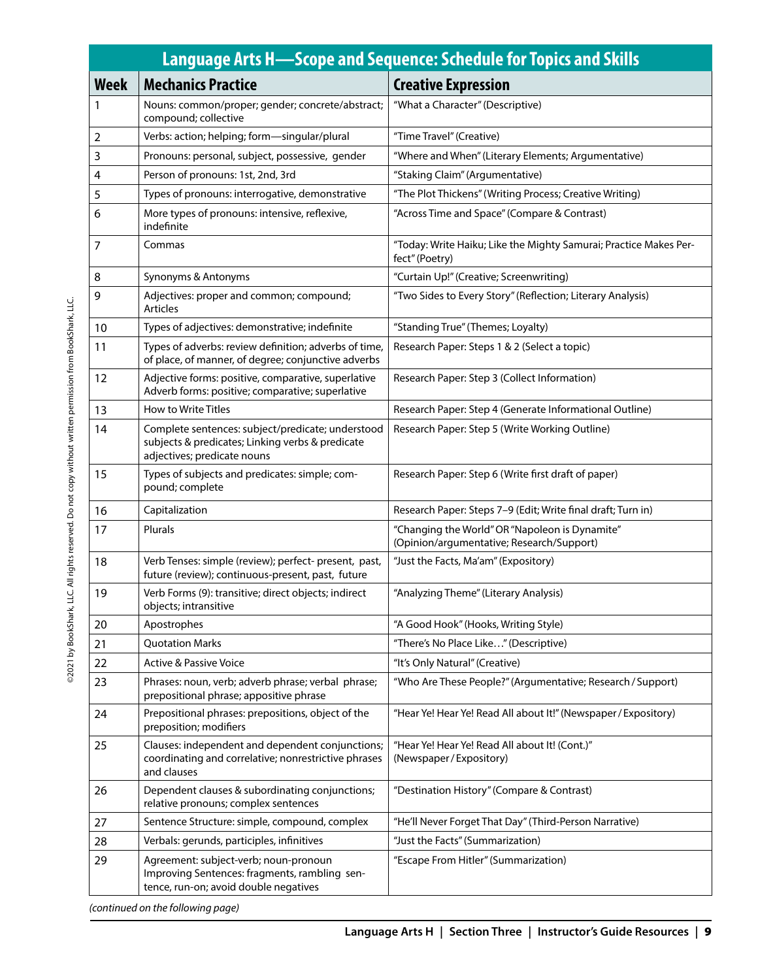| Language Arts H—Scope and Sequence: Schedule for Topics and Skills |                                                                                                                                      |                                                                                             |
|--------------------------------------------------------------------|--------------------------------------------------------------------------------------------------------------------------------------|---------------------------------------------------------------------------------------------|
| <b>Week</b>                                                        | <b>Mechanics Practice</b>                                                                                                            | <b>Creative Expression</b>                                                                  |
| 1                                                                  | Nouns: common/proper; gender; concrete/abstract;<br>compound; collective                                                             | "What a Character" (Descriptive)                                                            |
| $\overline{2}$                                                     | Verbs: action; helping; form-singular/plural                                                                                         | "Time Travel" (Creative)                                                                    |
| 3                                                                  | Pronouns: personal, subject, possessive, gender                                                                                      | "Where and When" (Literary Elements; Argumentative)                                         |
| 4                                                                  | Person of pronouns: 1st, 2nd, 3rd                                                                                                    | "Staking Claim" (Argumentative)                                                             |
| 5                                                                  | Types of pronouns: interrogative, demonstrative                                                                                      | "The Plot Thickens" (Writing Process; Creative Writing)                                     |
| 6                                                                  | More types of pronouns: intensive, reflexive,<br>indefinite                                                                          | "Across Time and Space" (Compare & Contrast)                                                |
| 7                                                                  | Commas                                                                                                                               | "Today: Write Haiku; Like the Mighty Samurai; Practice Makes Per-<br>fect" (Poetry)         |
| 8                                                                  | Synonyms & Antonyms                                                                                                                  | "Curtain Up!" (Creative; Screenwriting)                                                     |
| 9                                                                  | Adjectives: proper and common; compound;<br><b>Articles</b>                                                                          | "Two Sides to Every Story" (Reflection; Literary Analysis)                                  |
| 10                                                                 | Types of adjectives: demonstrative; indefinite                                                                                       | "Standing True" (Themes; Loyalty)                                                           |
| 11                                                                 | Types of adverbs: review definition; adverbs of time,<br>of place, of manner, of degree; conjunctive adverbs                         | Research Paper: Steps 1 & 2 (Select a topic)                                                |
| 12                                                                 | Adjective forms: positive, comparative, superlative<br>Adverb forms: positive; comparative; superlative                              | Research Paper: Step 3 (Collect Information)                                                |
| 13                                                                 | How to Write Titles                                                                                                                  | Research Paper: Step 4 (Generate Informational Outline)                                     |
| 14                                                                 | Complete sentences: subject/predicate; understood<br>subjects & predicates; Linking verbs & predicate<br>adjectives; predicate nouns | Research Paper: Step 5 (Write Working Outline)                                              |
| 15                                                                 | Types of subjects and predicates: simple; com-<br>pound; complete                                                                    | Research Paper: Step 6 (Write first draft of paper)                                         |
| 16                                                                 | Capitalization                                                                                                                       | Research Paper: Steps 7-9 (Edit; Write final draft; Turn in)                                |
| 17                                                                 | Plurals                                                                                                                              | "Changing the World" OR "Napoleon is Dynamite"<br>(Opinion/argumentative; Research/Support) |
| 18                                                                 | Verb Tenses: simple (review); perfect- present, past,<br>future (review); continuous-present, past, future                           | "Just the Facts, Ma'am" (Expository)                                                        |
| 19                                                                 | Verb Forms (9): transitive; direct objects; indirect<br>objects; intransitive                                                        | "Analyzing Theme" (Literary Analysis)                                                       |
| 20                                                                 | Apostrophes                                                                                                                          | "A Good Hook" (Hooks, Writing Style)                                                        |
| 21                                                                 | <b>Quotation Marks</b>                                                                                                               | "There's No Place Like" (Descriptive)                                                       |
| 22                                                                 | <b>Active &amp; Passive Voice</b>                                                                                                    | "It's Only Natural" (Creative)                                                              |
| 23                                                                 | Phrases: noun, verb; adverb phrase; verbal phrase;<br>prepositional phrase; appositive phrase                                        | "Who Are These People?" (Argumentative; Research / Support)                                 |
| 24                                                                 | Prepositional phrases: prepositions, object of the<br>preposition; modifiers                                                         | "Hear Ye! Hear Ye! Read All about It!" (Newspaper / Expository)                             |
| 25                                                                 | Clauses: independent and dependent conjunctions;<br>coordinating and correlative; nonrestrictive phrases<br>and clauses              | "Hear Ye! Hear Ye! Read All about It! (Cont.)"<br>(Newspaper/Expository)                    |
| 26                                                                 | Dependent clauses & subordinating conjunctions;<br>relative pronouns; complex sentences                                              | "Destination History" (Compare & Contrast)                                                  |
| 27                                                                 | Sentence Structure: simple, compound, complex                                                                                        | "He'll Never Forget That Day" (Third-Person Narrative)                                      |
| 28                                                                 | Verbals: gerunds, participles, infinitives                                                                                           | "Just the Facts" (Summarization)                                                            |
| 29                                                                 | Agreement: subject-verb; noun-pronoun<br>Improving Sentences: fragments, rambling sen-<br>tence, run-on; avoid double negatives      | "Escape From Hitler" (Summarization)                                                        |

*(continued on the following page)*